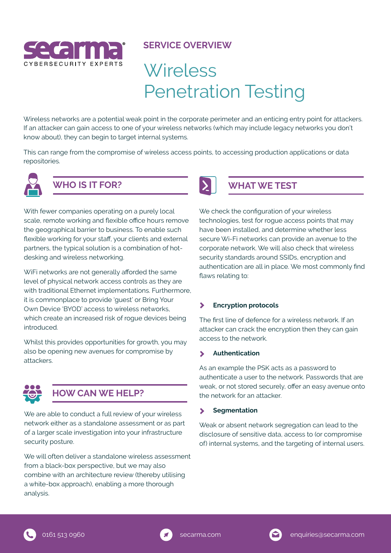

#### **SERVICE OVERVIEW**

# **Wireless** Penetration Testing

Wireless networks are a potential weak point in the corporate perimeter and an enticing entry point for attackers. If an attacker can gain access to one of your wireless networks (which may include legacy networks you don't know about), they can begin to target internal systems.

This can range from the compromise of wireless access points, to accessing production applications or data repositories.



# **WHO IS IT FOR?**

With fewer companies operating on a purely local scale, remote working and flexible office hours remove the geographical barrier to business. To enable such flexible working for your staff, your clients and external partners, the typical solution is a combination of hotdesking and wireless networking.

WiFi networks are not generally afforded the same level of physical network access controls as they are with traditional Ethernet implementations. Furthermore, it is commonplace to provide 'guest' or Bring Your Own Device 'BYOD' access to wireless networks, which create an increased risk of rogue devices being introduced.

Whilst this provides opportunities for growth, you may also be opening new avenues for compromise by attackers.



## **HOW CAN WE HELP?**

We are able to conduct a full review of your wireless network either as a standalone assessment or as part of a larger scale investigation into your infrastructure security posture.

We will often deliver a standalone wireless assessment from a black-box perspective, but we may also combine with an architecture review (thereby utilising a white-box approach), enabling a more thorough analysis.



## **WHAT WE TEST**

We check the configuration of your wireless technologies, test for rogue access points that may have been installed, and determine whether less secure Wi-Fi networks can provide an avenue to the corporate network. We will also check that wireless security standards around SSIDs, encryption and authentication are all in place. We most commonly find flaws relating to:

#### $\blacktriangleright$ **Encryption protocols**

The first line of defence for a wireless network. If an attacker can crack the encryption then they can gain access to the network.

#### **Authentication**   $\blacktriangleright$

As an example the PSK acts as a password to authenticate a user to the network. Passwords that are weak, or not stored securely, offer an easy avenue onto the network for an attacker.

#### **Segmentation** ⋟

Weak or absent network segregation can lead to the disclosure of sensitive data, access to (or compromise of) internal systems, and the targeting of internal users.